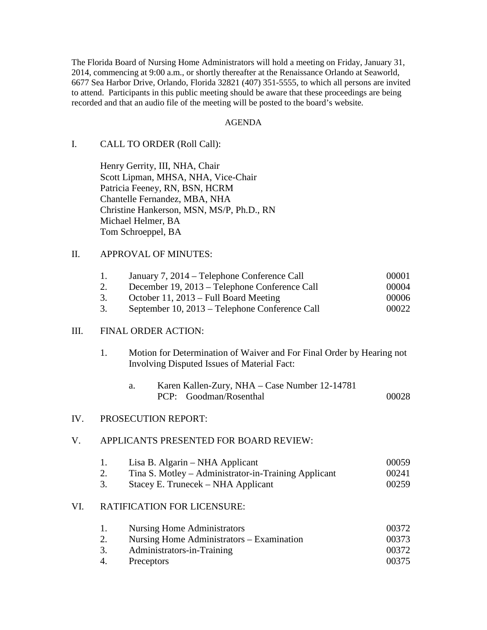The Florida Board of Nursing Home Administrators will hold a meeting on Friday, January 31, 2014, commencing at 9:00 a.m., or shortly thereafter at the Renaissance Orlando at Seaworld, 6677 Sea Harbor Drive, Orlando, Florida 32821 (407) 351-5555, to which all persons are invited to attend. Participants in this public meeting should be aware that these proceedings are being recorded and that an audio file of the meeting will be posted to the board's website.

#### AGENDA

## I. CALL TO ORDER (Roll Call):

 Henry Gerrity, III, NHA, Chair Scott Lipman, MHSA, NHA, Vice-Chair Patricia Feeney, RN, BSN, HCRM Chantelle Fernandez, MBA, NHA Christine Hankerson, MSN, MS/P, Ph.D., RN Michael Helmer, BA Tom Schroeppel, BA

## II. APPROVAL OF MINUTES:

| January 7, 2014 – Telephone Conference Call    | 00001 |
|------------------------------------------------|-------|
| December 19, 2013 – Telephone Conference Call  | 00004 |
| October 11, 2013 – Full Board Meeting          | 00006 |
| September 10, 2013 – Telephone Conference Call | 00022 |

#### III. FINAL ORDER ACTION:

 1. Motion for Determination of Waiver and For Final Order by Hearing not Involving Disputed Issues of Material Fact:

| Karen Kallen-Zury, NHA – Case Number 12-14781 |       |
|-----------------------------------------------|-------|
| PCP: Goodman/Rosenthal                        | 00028 |

#### IV. PROSECUTION REPORT:

#### V. APPLICANTS PRESENTED FOR BOARD REVIEW:

| Lisa B. Algarin – NHA Applicant                      | 00059 |
|------------------------------------------------------|-------|
| Tina S. Motley – Administrator-in-Training Applicant | 00241 |
|                                                      |       |

3. Stacey E. Trunecek – NHA Applicant 00259

## VI. RATIFICATION FOR LICENSURE:

| 1. | Nursing Home Administrators               | 00372 |
|----|-------------------------------------------|-------|
|    | Nursing Home Administrators – Examination | 00373 |
|    | Administrators-in-Training                | 00372 |
| 4. | Preceptors                                | 00375 |